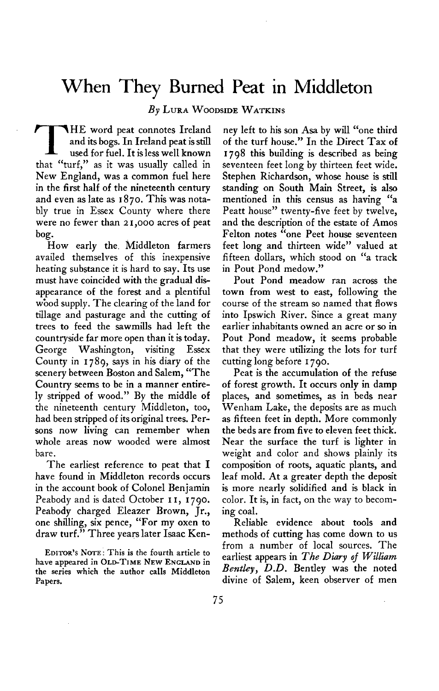## **When They Burned Peat in Middleton**

 $By$  LURA WOODSIDE WATKINS

**T HE word peat connotes Ireland and its bogs. In Ireland peat is still used for fuel. It isless well known that "turf," as it was usually called in New England, was a common fuel here in the first half of the nineteenth century and even as late as I 870. This was notably true in Essex County where there were no fewer than 21,000 acres of peat bog.** 

**How early the. Middleton farmers availed themselves of this inexpensive heating substance it is hard to say. Its use must have coincided with the gradual disappearance of the forest and a plentiful wbod supply. The clearing of the land for tillage and pasturage and the cutting of trees to feed the sawmills had left the countryside far more open than it is today. George Washington, visiting Essex County in I 789, says in his diary of the scenery between Boston and Salem, "The Country seems to be in a manner entirely stripped of wood." By the middle of the nineteenth century Middleton, too, had been stripped of its original trees. Persons now living can remember when whole areas now wooded were almost bare.** 

**The earliest reference to peat that I have found in Middleton records occurs in the account book of Colonel Benjamin Peabody and is dated October I I, I 790. Peabody charged Eleazer Brown, Jr., one shilling, six pence, "For my oxen to draw turf." Three years later Isaac Ken-**

**EDITORS ' NOTE: This is the fourth article to have appeared in OLD-TIME NEW ENGLAND in the series which the author calls Middleton Papers.** 

**ney left to his son Asa by will "one third of the turf house." In the Direct Tax of 1798 this building is described as being seventeen feet long by thirteen feet wide. Stephen Richardson, whose house is still standing on South Main Street, is also mentioned in this census as having "a Peatt house" twenty-five feet by twelve, and the description of the estate of Amos Felton notes "one Peet house seventeen feet long and thirteen wide" valued at fifteen dollars, which stood on "a track in Pout Pond medow."** 

**Pout Pond meadow ran across the town from west to east, following the course of the stream so named that flows into Ipswich River. Since a great many earlier inhabitants owned an acre or so in Pout Pond meadow, it seems probable that they were utilizing the lots for turf cutting long before I 790.** 

**Peat is the accumulation of the refuse of forest growth. It occurs only in damp places, and sometimes, as in beds near Wenham Lake, the deposits are as much as fifteen feet in depth. More commonly the beds are from five to eleven feet thick. Near the surface the turf is lighter in weight and color and shows plainly its composition of roots, aquatic plants, and leaf mold. At a greater depth the deposit is more nearly solidified and is black in color. It is, in fact, on the way to becoming coal.** 

**Reliable evidence about tools and methods of cutting has come down to us from a number of local sources. The earliest appears in The Diary of William** Bentley, D.D. Bentley was the noted **divine of Salem, keen observer of men**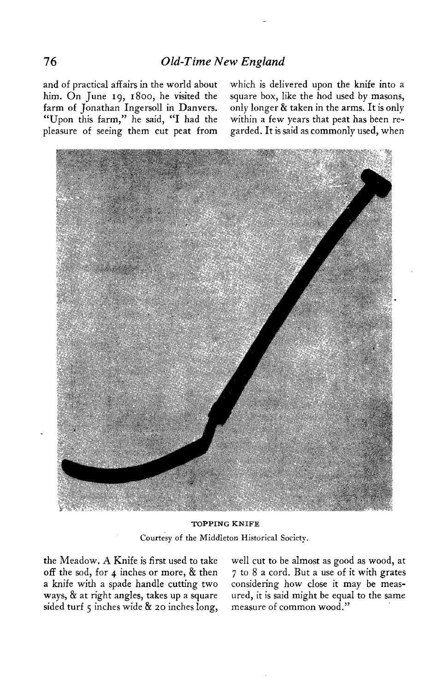**and of practical affairs in the world about which is delivered upon the knife into a**  "Upon this farm," he said, "I had the **pleasure of seeing them cut peat from garded. It is said as commonly used, when** 

**him. On June 19, I 800, he visited the square box, like the hod used by masons, farm of Jonathan Ingersoll in Danvers. only longer & taken in the arms. It is only** 



**TOPPING KNIFE Courtesy of the Middleton Historical Society.** 

**a knife with a spade handle cutting two considering how close it may be meassided turf 5 inches wide & 20 inches long, measure of common wood."** 

**the Meadow. A Knife is first used to take well cut to be almost as good as wood, at off the sod, for 4 inches or more, & then 7 to 8 a cord. But a use of it with grates**  ured, it is said might be equal to the same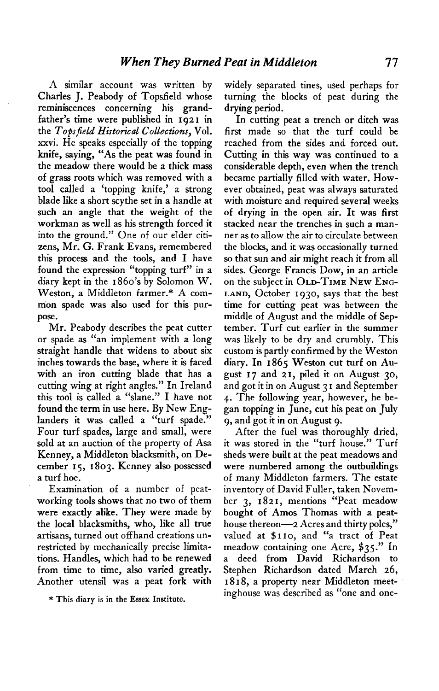**A similar account was written by Charles J. Peabody of Topsfield whose reminiscences concerning his grandfather's time were published in 1921 in the Tops field Historical Collections, Vol. xxvi. He speaks especially of the topping knife, saying, "As the peat was found in the meadow there would be a thick mass of grass roots which was removed with a tool called a 'topping knife,' a strong blade like a short scythe set in a handle at such an angle that the weight of the workman as well as his strength forced it into the ground." One of our elder citizens, Mr. G. Frank Evans, remembered this process and the tools, and I have found the expression "topping turf" in a diary kept in the I 860's by Solomon W. Weston, a Middleton farmer.\* A common spade was also used for this purpose.** 

**Mr. Peabody describes the peat cutter or spade as "an implement with a long straight handle that widens to about six inches towards the base, where it is faced with an iron cutting blade that has a cutting wing at right angles." In Ireland this tool is called a "slane." I have not found the term in use here. By New Englanders it was called a "turf spade." Four turf spades, large and small, were sold at an auction of the property of Asa Kenney, a Middleton blacksmith, on December IS, 1803. Kenney also possessed a turf hoe.** 

**Examination of a number of peatworking tools shows that no two of them were exactly alike. They were made by the local blacksmiths, who, like all true artisans, turned out offhand creations unrestricted by mechanically precise limitations. Handles, which had to be renewed from time to time, also varied greatly. Another utensil was a peat fork with** 

**\* This diary is in the Essex Institute.** 

**widely separated tines, used perhaps for turning the blocks of peat during the drying period.** 

**In cutting peat a trench or ditch was first made so that the turf could be reached from the sides and forced out. Cutting in this way was continued to a considerable depth, even when the trench became partially filled with water. However obtained, peat was always saturated with moisture and required several weeks of drying in the open air. It was first stacked near the trenches in such a manner as to allow the air to circulate between the blocks, and it was occasionally turned so that sun and air might reach it from all sides. George Francis Dow, in an article**  on the subject in OLD-TIME NEW ENG-**LAND, October 1930, says that the best time for cutting peat was between the middle of August and the middle of September. Turf cut earlier in the summer was likely to be dry and crumbly. This custom is partly confirmed by the Weston diary. In 1865 Weston cut turf on August I 7 and 2 I, piled it on August 30, and got it in on August 3 I and September 4. The following year, however, he began topping in June, cut his peat on July 9, and got it in on August 9.** 

**After the fuel was thoroughly dried, it was stored in the "turf house." Turf sheds were built at the peat meadows and were numbered among the outbuildings of many Middleton farmers. The estate inventory of David Fuller, taken November 3, 1821, mentions "Peat meadow bought of Amos Thomas with a peathouse thereon-2 Acres and thirty poles," valued at \$ I IO, and "a tract of Peat meadow containing one Acre, \$35." In a deed from David Richardson to Stephen Richardson dated March 26, I 818, a property near Middleton meetinghouse was described as "one and one-**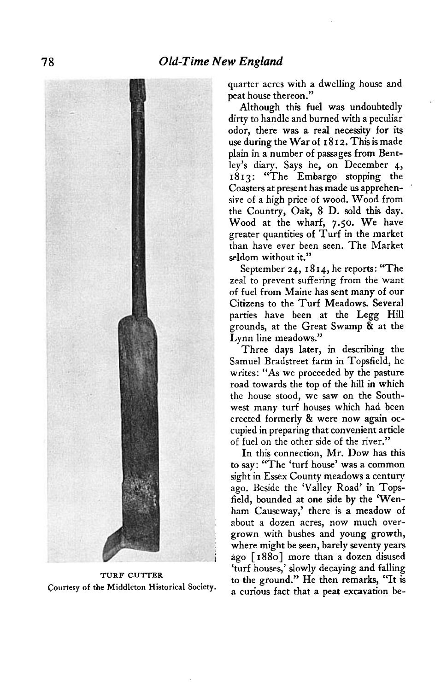

**TURF CUTTER Courtesy of the Middleton Historical Society.** 

**quarter acres with a dwelling house and peat house thereon."** 

**Although this fuel was undoubtedly dirty to handle and burned with a peculiar odor, there was a real necessity for its use during the War of I 8 I 2. This is made plain in a number of passages from Bentley's diary. Says he, on December 4, 1813: "The Embargo stopping the Coasters at present has made us apprehensive of a high price of wood. Wood from the Country, Oak, 8 D. sold this day. Wood at the wharf, 7.50. We have greater quantities of Turf in the market than have ever been seen. The Market seldom without it."** 

September 24, 1814, he reports: "The **zeal to prevent suffering from the want of fuel from Maine has sent many of our Citizens to the Turf Meadows. Several parties have been at the Legg Hill grounds, at the Great Swamp & at the Lynn line meadows."** 

**Three days later, in describing the Samuel Bradstreet farm in Topsfield, he writes: "As we proceeded by the pasture road towards the top of the hill in which the house stood, we saw on the Southwest many turf houses which had been erected formerly & were now again occupied in preparing that convenient article of fuel on the other side of the river."** 

**In this connection, Mr. Dow has this to say: "The 'turf house' was a common sight in Essex County meadows a century ago. Beside the 'Valley Road' in Topsfield, bounded at one side by the 'Wenham Causeway,' there is a meadow of about a dozen acres, now much overgrown with bushes and young growth, where might be seen, barely seventy years ; ago [ I 8801 more than a dozen disused 'turf houses,' slowly decaying and falling to the ground." He then remarks, "It is a curious fact that a peat excavation be-**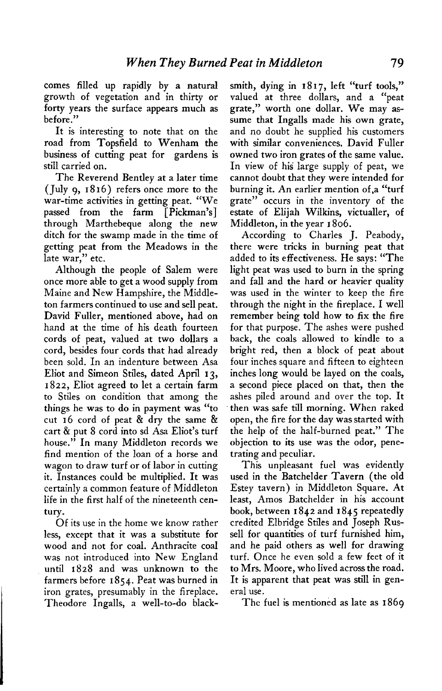**comes filled up rapidly by a natural growth of vegetation and in thirty or forty years the surface appears much as before."** 

**It is interesting to note that on the road from Topsfield to Wenham the business of cutting peat for gardens is still carried on.** 

**The Reverend Bentley at a later time (July 9, 18 16) refers once more to the war-time activities in getting peat. "We passed from the farm [Pickman's] through Marthebeque along the new ditch for the swamp made in the time of getting peat from the Meadows in the late war," etc.** 

**Although the people of Salem were once more able to get a wood supply from Maine and New Hampshire, the Middleton farmers continued to use and sell peat. David Fuller, mentioned above, had on hand at the time of his death fourteen cords of peat, valued at two dollars a cord, besides four cords that had already been sold. In an indenture between Asa Eliot and Simeon Stiles, dated April 13, 1822, Eliot agreed to let a certain farm to Stiles on condition that among the things he was to do in payment was "to cut 16 cord of peat & dry the same & cart & put 8 cord into sd Asa Eliot's turf house." In many Middleton records we find mention of the loan of a horse and wagon to draw turf or of labor in cutting it. Instances could be multiplied. It was certainly a common feature of Middleton life in the first half of the nineteenth century.** 

**Of its use in the home we know rather less, except that it was a substitute for wood and not for coal. Anthracite coal was not introduced into New England until 1828 and was unknown to the farmers before I 854. Peat was burned in iron grates, presumably in the fireplace. Theodore Ingalls, a well-to-do black-** **smith, dying in 1817, left "turf tools," valued at three dollars, and a "peat grate," worth one dollar. We may assume that Ingalls made his own grate, and no doubt he supplied his customers with similar conveniences. David Fuller owned two iron grates of the same value. In view of his large supply of peat, we cannot doubt that they were intended for burning it. An earlier mention of.a "turf grate" occurs in the inventory of the estate of Elijah Wilkins, victualler, of Middleton, in the year I 806.** 

**According to Charles J. Peabody, there were tricks in burning peat that added to its effectiveness. He says: "The light peat was used to burn in the spring and fall and the hard or heavier quality was used in the winter to keep the fire through the night in the fireplace. I well remember being told how to fix the fire for that purpose. The ashes were pushed back, the coals allowed to kindle to a bright red, then a block of peat about four inches square and fifteen to eighteen inches long would be layed on the coals, a second piece placed on that, then the ashes piled around and over the top. It then was safe till morning. When raked open, the fire for the day was started with the help of the half-burned peat." The objection to its use was the odor, penetrating and peculiar.** 

**This unpleasant fuel was evidently used in the Batchelder Tavern (the old Estey tavern) in Middleton Square. At least, Amos Batchelder in his account book, between I 842 and I 845 repeatedly credited Elbridge Stiles and Joseph Russell for quantities of turf furnished him, and he paid others as well for drawing turf. Once he even sold a few feet of it to Mrs. Moore, who lived across the road. It is apparent that peat was still in general use.** 

**The fuel is mentioned as late as 1869**